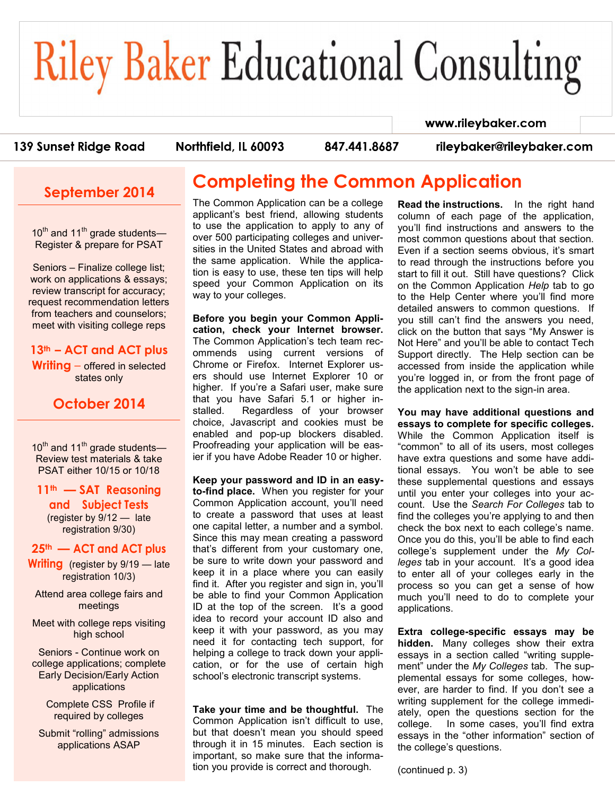# **Riley Baker Educational Consulting**

### 139 Sunset Ridge Road

Northfield, IL 60093

847.441.8687

rileybaker@rileybaker.com

www.rileybaker.com

## **September 2014**

 $10^{th}$  and  $11^{th}$  grade students— Register & prepare for PSAT

Seniors – Finalize college list; work on applications & essays; review transcript for accuracy; request recommendation letters from teachers and counselors; meet with visiting college reps

#### **13th – ACT and ACT plus**

**Writing** – offered in selected states only

## **October 2014**

10<sup>th</sup> and 11<sup>th</sup> grade students— Review test materials & take PSAT either 10/15 or 10/18

#### **11th — SAT Reasoning**

**and Subject Tests**  (register by 9/12 — late registration 9/30)

#### **25th — ACT and ACT plus**

**Writing** (register by 9/19 — late registration 10/3)

Attend area college fairs and meetings

Meet with college reps visiting high school

Seniors - Continue work on college applications; complete Early Decision/Early Action applications

> Complete CSS Profile if required by colleges

Submit "rolling" admissions applications ASAP

# **Completing the Common Application**

The Common Application can be a college applicant's best friend, allowing students to use the application to apply to any of over 500 participating colleges and universities in the United States and abroad with the same application. While the application is easy to use, these ten tips will help speed your Common Application on its way to your colleges.

**Before you begin your Common Application, check your Internet browser.**  The Common Application's tech team recommends using current versions of Chrome or Firefox. Internet Explorer users should use Internet Explorer 10 or higher. If you're a Safari user, make sure that you have Safari 5.1 or higher installed. Regardless of your browser choice, Javascript and cookies must be enabled and pop-up blockers disabled. Proofreading your application will be easier if you have Adobe Reader 10 or higher.

**Keep your password and ID in an easyto-find place.** When you register for your Common Application account, you'll need to create a password that uses at least one capital letter, a number and a symbol. Since this may mean creating a password that's different from your customary one, be sure to write down your password and keep it in a place where you can easily find it. After you register and sign in, you'll be able to find your Common Application ID at the top of the screen. It's a good idea to record your account ID also and keep it with your password, as you may need it for contacting tech support, for helping a college to track down your application, or for the use of certain high school's electronic transcript systems.

**Take your time and be thoughtful.** The Common Application isn't difficult to use, but that doesn't mean you should speed through it in 15 minutes. Each section is important, so make sure that the information you provide is correct and thorough.

**Read the instructions.** In the right hand column of each page of the application, you'll find instructions and answers to the most common questions about that section. Even if a section seems obvious, it's smart to read through the instructions before you start to fill it out. Still have questions? Click on the Common Application *Help* tab to go to the Help Center where you'll find more detailed answers to common questions. If you still can't find the answers you need, click on the button that says "My Answer is Not Here" and you'll be able to contact Tech Support directly. The Help section can be accessed from inside the application while you're logged in, or from the front page of the application next to the sign-in area.

**You may have additional questions and essays to complete for specific colleges.**  While the Common Application itself is "common" to all of its users, most colleges have extra questions and some have additional essays. You won't be able to see these supplemental questions and essays until you enter your colleges into your account. Use the *Search For Colleges* tab to find the colleges you're applying to and then check the box next to each college's name. Once you do this, you'll be able to find each college's supplement under the *My Colleges* tab in your account. It's a good idea to enter all of your colleges early in the process so you can get a sense of how much you'll need to do to complete your applications.

**Extra college-specific essays may be hidden.** Many colleges show their extra essays in a section called "writing supplement" under the *My Colleges* tab. The supplemental essays for some colleges, however, are harder to find. If you don't see a writing supplement for the college immediately, open the questions section for the college. In some cases, you'll find extra essays in the "other information" section of the college's questions.

(continued p. 3)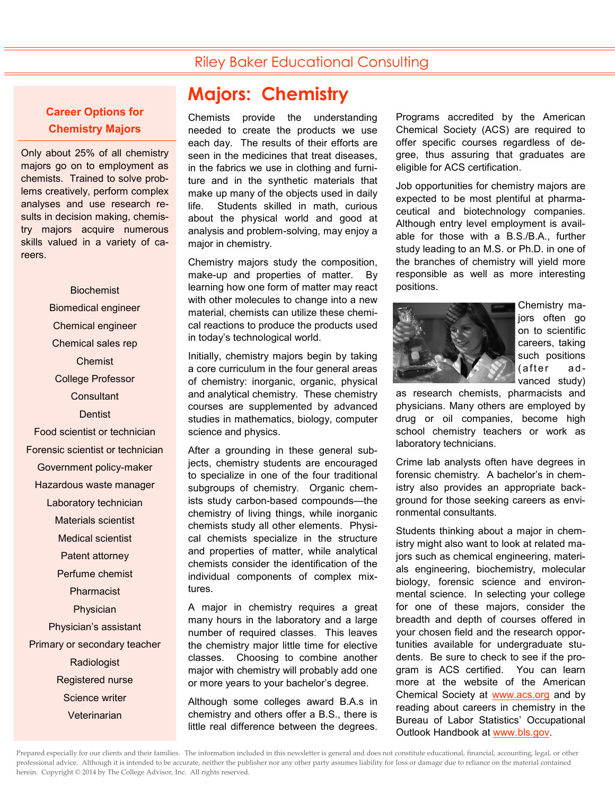## Riley Baker Educational Consulting

#### **Career Options for Chemistry Majors**

Only about 25% of all chemistry majors go on to employment as chemists. Trained to solve problems creatively, perform complex analyses and use research results in decision making, chemistry majors acquire numerous skills valued in a variety of careers.

Biochemist Biomedical engineer Chemical engineer Chemical sales rep Chemist College Professor **Consultant Dentist** Food scientist or technician Forensic scientist or technician Government policy-maker Hazardous waste manager Laboratory technician Materials scientist Medical scientist Patent attorney Perfume chemist Pharmacist Physician Physician's assistant Primary or secondary teacher **Radiologist** Registered nurse Science writer **Veterinarian** 

# **Majors: Chemistry**

Chemists provide the understanding needed to create the products we use each day. The results of their efforts are seen in the medicines that treat diseases, in the fabrics we use in clothing and furniture and in the synthetic materials that make up many of the objects used in daily life. Students skilled in math, curious about the physical world and good at analysis and problem-solving, may enjoy a major in chemistry.

Chemistry majors study the composition, make-up and properties of matter. By learning how one form of matter may react with other molecules to change into a new material, chemists can utilize these chemical reactions to produce the products used in today's technological world.

Initially, chemistry majors begin by taking a core curriculum in the four general areas of chemistry: inorganic, organic, physical and analytical chemistry. These chemistry courses are supplemented by advanced studies in mathematics, biology, computer science and physics.

After a grounding in these general subjects, chemistry students are encouraged to specialize in one of the four traditional subgroups of chemistry. Organic chemists study carbon-based compounds—the chemistry of living things, while inorganic chemists study all other elements. Physical chemists specialize in the structure and properties of matter, while analytical chemists consider the identification of the individual components of complex mixtures.

A major in chemistry requires a great many hours in the laboratory and a large number of required classes. This leaves the chemistry major little time for elective classes. Choosing to combine another major with chemistry will probably add one or more years to your bachelor's degree.

Although some colleges award B.A.s in chemistry and others offer a B.S., there is little real difference between the degrees.

Programs accredited by the American Chemical Society (ACS) are required to offer specific courses regardless of degree, thus assuring that graduates are eligible for ACS certification.

Job opportunities for chemistry majors are expected to be most plentiful at pharmaceutical and biotechnology companies. Although entry level employment is available for those with a B.S./B.A., further study leading to an M.S. or Ph.D. in one of the branches of chemistry will yield more responsible as well as more interesting positions.



Chemistry majors often go on to scientific careers, taking such positions (after advanced study)

as research chemists, pharmacists and physicians. Many others are employed by drug or oil companies, become high school chemistry teachers or work as laboratory technicians.

Crime lab analysts often have degrees in forensic chemistry. A bachelor's in chemistry also provides an appropriate background for those seeking careers as environmental consultants.

Students thinking about a major in chemistry might also want to look at related majors such as chemical engineering, materials engineering, biochemistry, molecular biology, forensic science and environmental science. In selecting your college for one of these majors, consider the breadth and depth of courses offered in your chosen field and the research opportunities available for undergraduate students. Be sure to check to see if the program is ACS certified. You can learn more at the website of the American Chemical Society at [www.acs.org](http://www.acs.org) and by reading about careers in chemistry in the Bureau of Labor Statistics' Occupational Outlook Handbook at [www.bls.gov.](http://www.bls.gov)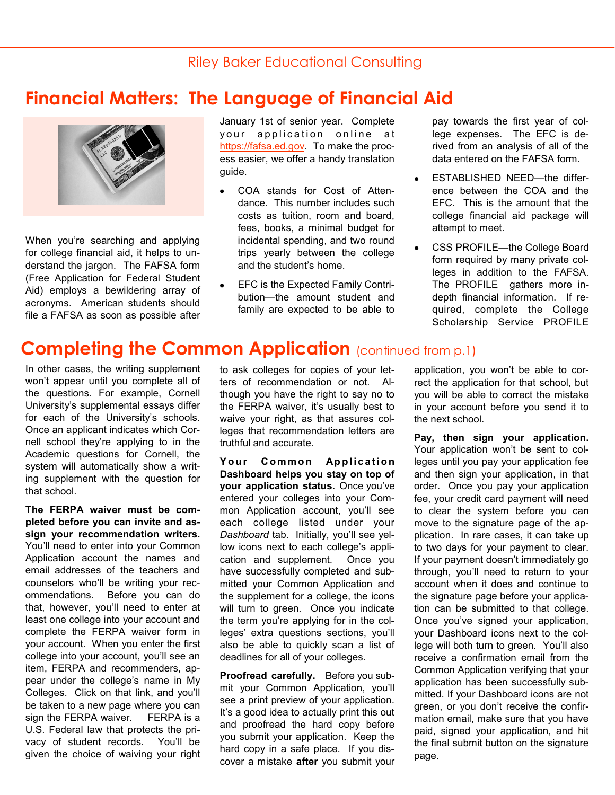# **Financial Matters: The Language of Financial Aid**



When you're searching and applying for college financial aid, it helps to understand the jargon. The FAFSA form (Free Application for Federal Student Aid) employs a bewildering array of acronyms. American students should file a FAFSA as soon as possible after January 1st of senior year. Complete your application online at [https://fafsa.ed.gov.](https://fafsa.ed.gov) To make the process easier, we offer a handy translation guide.

- COA stands for Cost of Attendance. This number includes such costs as tuition, room and board, fees, books, a minimal budget for incidental spending, and two round trips yearly between the college and the student's home.
- EFC is the Expected Family Contribution—the amount student and family are expected to be able to

pay towards the first year of college expenses. The EFC is derived from an analysis of all of the data entered on the FAFSA form.

- ESTABLISHED NEED—the differ- $\bullet$ ence between the COA and the EFC. This is the amount that the college financial aid package will attempt to meet.
- $\bullet$ CSS PROFILE—the College Board form required by many private colleges in addition to the FAFSA. The PROFILE gathers more indepth financial information. If required, complete the College Scholarship Service PROFILE

# **Completing the Common Application** (continued from p.1)

In other cases, the writing supplement won't appear until you complete all of the questions. For example, Cornell University's supplemental essays differ for each of the University's schools. Once an applicant indicates which Cornell school they're applying to in the Academic questions for Cornell, the system will automatically show a writing supplement with the question for that school.

**The FERPA waiver must be completed before you can invite and assign your recommendation writers.**  You'll need to enter into your Common Application account the names and email addresses of the teachers and counselors who'll be writing your recommendations. Before you can do that, however, you'll need to enter at least one college into your account and complete the FERPA waiver form in your account. When you enter the first college into your account, you'll see an item, FERPA and recommenders, appear under the college's name in My Colleges. Click on that link, and you'll be taken to a new page where you can sign the FERPA waiver.FERPA is a U.S. Federal law that protects the privacy of student records. You'll be given the choice of waiving your right to ask colleges for copies of your letters of recommendation or not. Although you have the right to say no to the FERPA waiver, it's usually best to waive your right, as that assures colleges that recommendation letters are truthful and accurate.

**Your Common Application Dashboard helps you stay on top of your application status.** Once you've entered your colleges into your Common Application account, you'll see each college listed under your *Dashboard* tab. Initially, you'll see yellow icons next to each college's application and supplement. Once you have successfully completed and submitted your Common Application and the supplement for a college, the icons will turn to green. Once you indicate the term you're applying for in the colleges' extra questions sections, you'll also be able to quickly scan a list of deadlines for all of your colleges.

**Proofread carefully.** Before you submit your Common Application, you'll see a print preview of your application. It's a good idea to actually print this out and proofread the hard copy before you submit your application. Keep the hard copy in a safe place. If you discover a mistake **after** you submit your

application, you won't be able to correct the application for that school, but you will be able to correct the mistake in your account before you send it to the next school.

**Pay, then sign your application.**  Your application won't be sent to colleges until you pay your application fee and then sign your application, in that order. Once you pay your application fee, your credit card payment will need to clear the system before you can move to the signature page of the application. In rare cases, it can take up to two days for your payment to clear. If your payment doesn't immediately go through, you'll need to return to your account when it does and continue to the signature page before your application can be submitted to that college. Once you've signed your application, your Dashboard icons next to the college will both turn to green. You'll also receive a confirmation email from the Common Application verifying that your application has been successfully submitted. If your Dashboard icons are not green, or you don't receive the confirmation email, make sure that you have paid, signed your application, and hit the final submit button on the signature page.